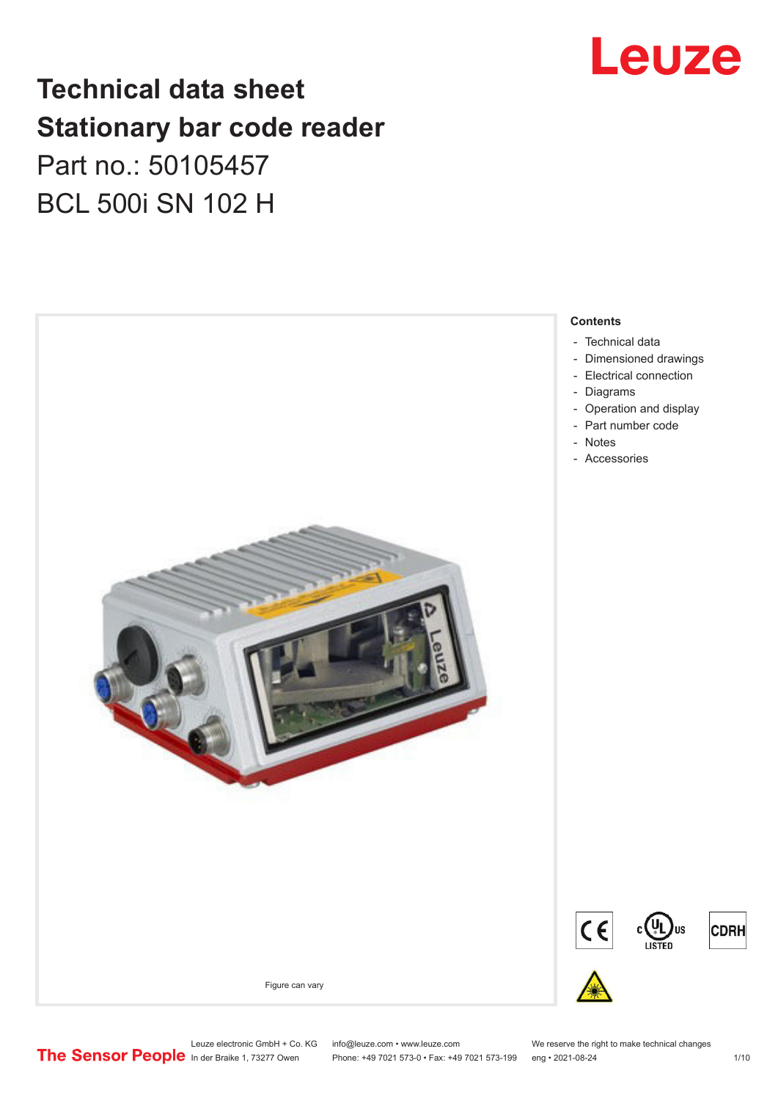

# **Technical data sheet Stationary bar code reader** Part no.: 50105457 BCL 500i SN 102 H



Leuze electronic GmbH + Co. KG info@leuze.com • www.leuze.com We reserve the right to make technical changes<br>
The Sensor People in der Braike 1, 73277 Owen Phone: +49 7021 573-0 • Fax: +49 7021 573-199 eng • 2021-08-24

Phone: +49 7021 573-0 • Fax: +49 7021 573-199 eng • 2021-08-24 1 1 10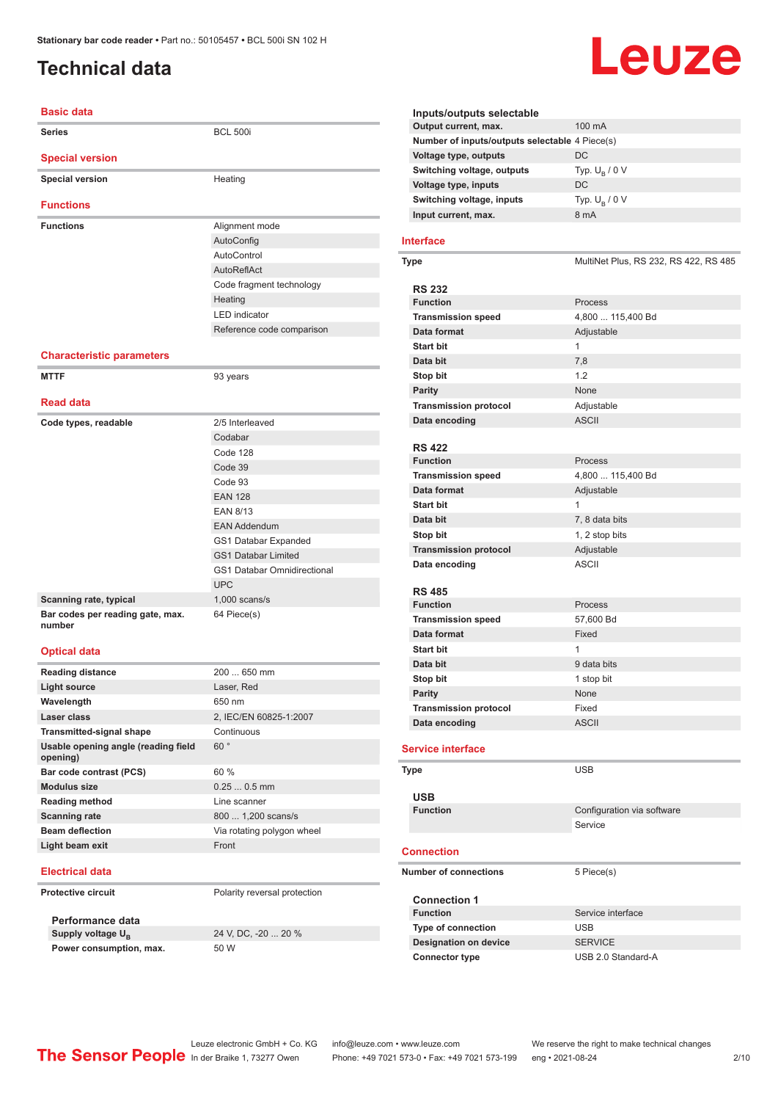# <span id="page-1-0"></span>**Technical data**

# **Basic data**

| <b>Series</b>                              | <b>BCL 500i</b>                    |
|--------------------------------------------|------------------------------------|
| <b>Special version</b>                     |                                    |
| <b>Special version</b>                     | Heating                            |
| <b>Functions</b>                           |                                    |
| <b>Functions</b>                           | Alignment mode                     |
|                                            | AutoConfig                         |
|                                            | AutoControl                        |
|                                            | AutoReflAct                        |
|                                            | Code fragment technology           |
|                                            | Heating                            |
|                                            | <b>LED</b> indicator               |
|                                            | Reference code comparison          |
|                                            |                                    |
| <b>Characteristic parameters</b>           |                                    |
| <b>MTTF</b>                                | 93 years                           |
|                                            |                                    |
| <b>Read data</b>                           |                                    |
| Code types, readable                       | 2/5 Interleaved                    |
|                                            | Codabar                            |
|                                            | Code 128                           |
|                                            | Code 39                            |
|                                            | Code 93                            |
|                                            | <b>EAN 128</b>                     |
|                                            | <b>EAN 8/13</b>                    |
|                                            | <b>EAN Addendum</b>                |
|                                            | GS1 Databar Expanded               |
|                                            | <b>GS1 Databar Limited</b>         |
|                                            | <b>GS1 Databar Omnidirectional</b> |
|                                            | <b>UPC</b>                         |
| Scanning rate, typical                     | $1,000$ scans/s                    |
| Bar codes per reading gate, max.<br>number | 64 Piece(s)                        |
| <b>Optical data</b>                        |                                    |
| <b>Reading distance</b>                    | 200  650 mm                        |
| <b>Light source</b>                        | Laser, Red                         |

| Reading distance                                | ZUU  000 IIIIII            |
|-------------------------------------------------|----------------------------|
| Light source                                    | Laser, Red                 |
| Wavelength                                      | 650 nm                     |
| Laser class                                     | 2, IEC/EN 60825-1:2007     |
| <b>Transmitted-signal shape</b>                 | Continuous                 |
| Usable opening angle (reading field<br>opening) | 60°                        |
| Bar code contrast (PCS)                         | 60%                        |
| <b>Modulus size</b>                             | $0.250.5$ mm               |
| <b>Reading method</b>                           | Line scanner               |
| <b>Scanning rate</b>                            | 800  1,200 scans/s         |
| <b>Beam deflection</b>                          | Via rotating polygon wheel |
| Light beam exit                                 | Front                      |
|                                                 |                            |

#### **Electrical data**

**Protective circuit** Polarity reversal protection

**Performance data** Supply voltage  $U_B$ **Power consumption, max.** 50 W

24 V, DC, -20 ... 20 %

| Inputs/outputs selectable                      |                                       |
|------------------------------------------------|---------------------------------------|
| Output current, max.                           | 100 mA                                |
| Number of inputs/outputs selectable 4 Piece(s) |                                       |
| <b>Voltage type, outputs</b>                   | DC                                    |
| Switching voltage, outputs                     | Typ. $U_B / 0 V$                      |
| Voltage type, inputs                           | DC                                    |
| Switching voltage, inputs                      | Typ. $U_B / 0 V$                      |
| Input current, max.                            | 8 mA                                  |
| Interface                                      |                                       |
|                                                |                                       |
| Type                                           | MultiNet Plus, RS 232, RS 422, RS 485 |
| <b>RS 232</b>                                  |                                       |
| <b>Function</b>                                | Process                               |
| <b>Transmission speed</b>                      | 4,800  115,400 Bd                     |
| Data format                                    | Adjustable                            |
| <b>Start bit</b>                               | 1                                     |
|                                                |                                       |
| Data bit                                       | 7,8                                   |
| Stop bit                                       | 1.2                                   |
| <b>Parity</b>                                  | None                                  |
| <b>Transmission protocol</b>                   | Adjustable                            |
| Data encoding                                  | <b>ASCII</b>                          |
|                                                |                                       |
| <b>RS 422</b>                                  |                                       |
| <b>Function</b>                                | Process                               |
| <b>Transmission speed</b>                      | 4,800  115,400 Bd                     |
| Data format                                    | Adjustable                            |
| <b>Start bit</b>                               | 1                                     |
| Data bit                                       | 7, 8 data bits                        |
| Stop bit                                       | 1, 2 stop bits                        |
| <b>Transmission protocol</b>                   | Adjustable                            |
| Data encoding                                  | ASCII                                 |
|                                                |                                       |
| <b>RS 485</b>                                  |                                       |
| <b>Function</b>                                | Process                               |
| <b>Transmission speed</b>                      | 57,600 Bd                             |
| Data format                                    | Fixed                                 |
| <b>Start bit</b>                               | 1                                     |
| Data bit                                       | 9 data bits                           |
| <b>Stop bit</b>                                | 1 stop bit                            |
| <b>Parity</b>                                  | None                                  |
| <b>Transmission protocol</b>                   | Fixed                                 |
| Data encoding                                  | <b>ASCII</b>                          |
| <b>Service interface</b>                       |                                       |
|                                                |                                       |
| Type                                           | <b>USB</b>                            |
|                                                |                                       |
| <b>USB</b><br><b>Function</b>                  |                                       |
|                                                | Configuration via software            |
|                                                | Service                               |
| <b>Connection</b>                              |                                       |
| <b>Number of connections</b>                   |                                       |
|                                                | 5 Piece(s)                            |
| <b>Connection 1</b>                            |                                       |
| <b>Function</b>                                | Service interface                     |
| Type of connection                             | USB                                   |
| <b>Designation on device</b>                   | <b>SERVICE</b>                        |
| <b>Connector type</b>                          | USB 2.0 Standard-A                    |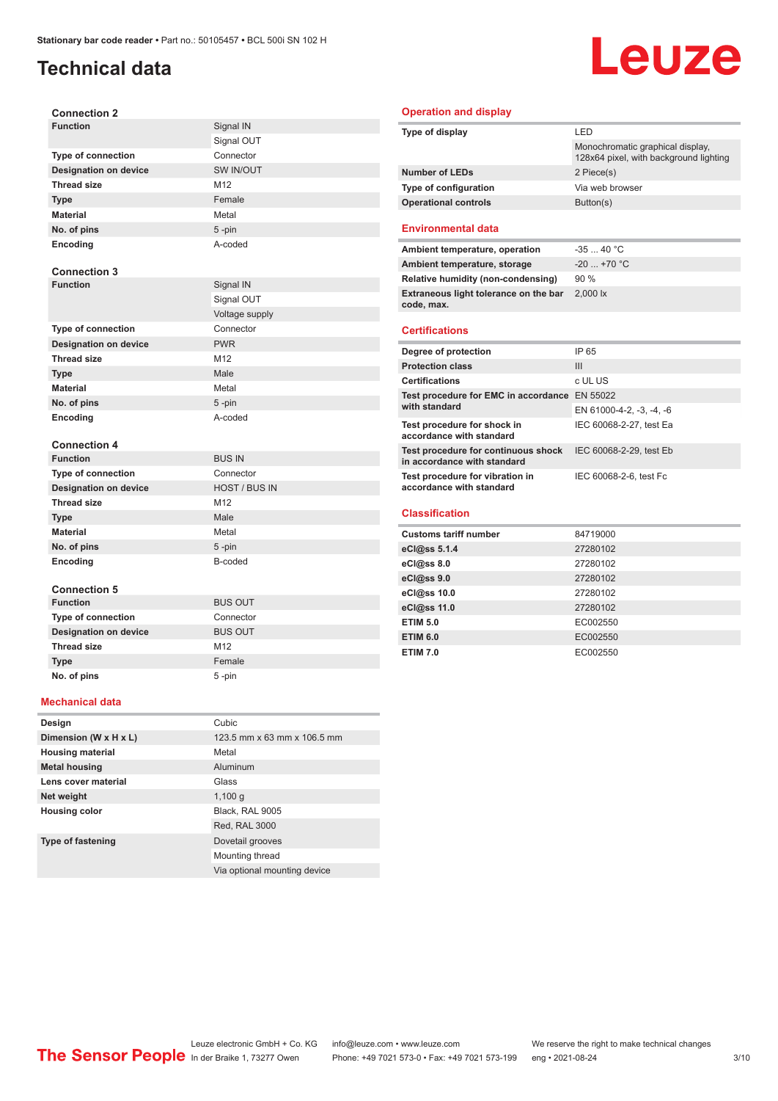# **Technical data**

# Leuze

| <b>Connection 2</b>          |                      |
|------------------------------|----------------------|
| <b>Function</b>              | Signal IN            |
|                              | Signal OUT           |
| <b>Type of connection</b>    | Connector            |
| <b>Designation on device</b> | SW IN/OUT            |
| <b>Thread size</b>           | M12                  |
| <b>Type</b>                  | Female               |
| <b>Material</b>              | Metal                |
| No. of pins                  | 5-pin                |
| Encoding                     | A-coded              |
|                              |                      |
| <b>Connection 3</b>          |                      |
| <b>Function</b>              | Signal IN            |
|                              | Signal OUT           |
|                              | Voltage supply       |
| <b>Type of connection</b>    | Connector            |
| <b>Designation on device</b> | <b>PWR</b>           |
| <b>Thread size</b>           | M12                  |
| <b>Type</b>                  | Male                 |
| <b>Material</b>              | Metal                |
| No. of pins                  | $5 - pin$            |
| <b>Encoding</b>              | A-coded              |
|                              |                      |
| <b>Connection 4</b>          |                      |
| <b>Function</b>              | <b>BUS IN</b>        |
| <b>Type of connection</b>    | Connector            |
| <b>Designation on device</b> | <b>HOST / BUS IN</b> |
| <b>Thread size</b>           | M12                  |
| <b>Type</b>                  | Male                 |
| <b>Material</b>              | Metal                |
| No. of pins                  | 5-pin                |
| Encoding                     | B-coded              |
|                              |                      |
| <b>Connection 5</b>          |                      |
| <b>Function</b>              | <b>BUS OUT</b>       |
| <b>Type of connection</b>    | Connector            |
| <b>Designation on device</b> | <b>BUS OUT</b>       |
| <b>Thread size</b>           | M12                  |
| <b>Type</b>                  | Female               |
| No. of pins                  | 5-pin                |

#### **Type of display** LED Monochromatic graphical display, 128x64 pixel, with background lighting **Number of LEDs** 2 Piece(s) **Type of configuration** Via web browser **Operational controls** Button(s) **Environmental data** Ambient temperature, operation -35 ... 40 °C **Ambient temperature, storage**  $-20$  ... +70 °C **Relative humidity (non-condensing)** 90 % **Extraneous light tolerance on the bar code, max.** 2,000 lx **Certifications Degree of protection** IP 65 **Protection class** III **Certifications** c UL US **Test procedure for EMC in accordance**  EN 55022 **with standard** EN 61000-4-2, -3, -4, -6 **Test procedure for shock in accordance with standard** IEC 60068-2-27, test Ea **Test procedure for continuous shock in accordance with standard** IEC 60068-2-29, test Eb **Test procedure for vibration in accordance with standard** IEC 60068-2-6, test Fc **Classification Customs tariff number** 84719000 **eCl@ss 5.1.4** 27280102

**Operation and display**

| <b>Customs tariff number</b> | 84719000 |
|------------------------------|----------|
| eCl@ss 5.1.4                 | 27280102 |
| eCl@ss 8.0                   | 27280102 |
| eCl@ss 9.0                   | 27280102 |
| eCl@ss 10.0                  | 27280102 |
| eCl@ss 11.0                  | 27280102 |
| <b>ETIM 5.0</b>              | EC002550 |
| <b>ETIM 6.0</b>              | EC002550 |
| <b>ETIM 7.0</b>              | EC002550 |

#### **Mechanical data**

| Design                   | Cubic                        |
|--------------------------|------------------------------|
| Dimension (W x H x L)    | 123.5 mm x 63 mm x 106.5 mm  |
| <b>Housing material</b>  | Metal                        |
| <b>Metal housing</b>     | Aluminum                     |
| Lens cover material      | Glass                        |
| Net weight               | 1,100q                       |
| <b>Housing color</b>     | Black, RAL 9005              |
|                          | Red, RAL 3000                |
| <b>Type of fastening</b> | Dovetail grooves             |
|                          | Mounting thread              |
|                          | Via optional mounting device |

Leuze electronic GmbH + Co. KG info@leuze.com • www.leuze.com We reserve the right to make technical changes<br>
The Sensor People in der Braike 1, 73277 Owen Phone: +49 7021 573-0 • Fax: +49 7021 573-199 eng • 2021-08-24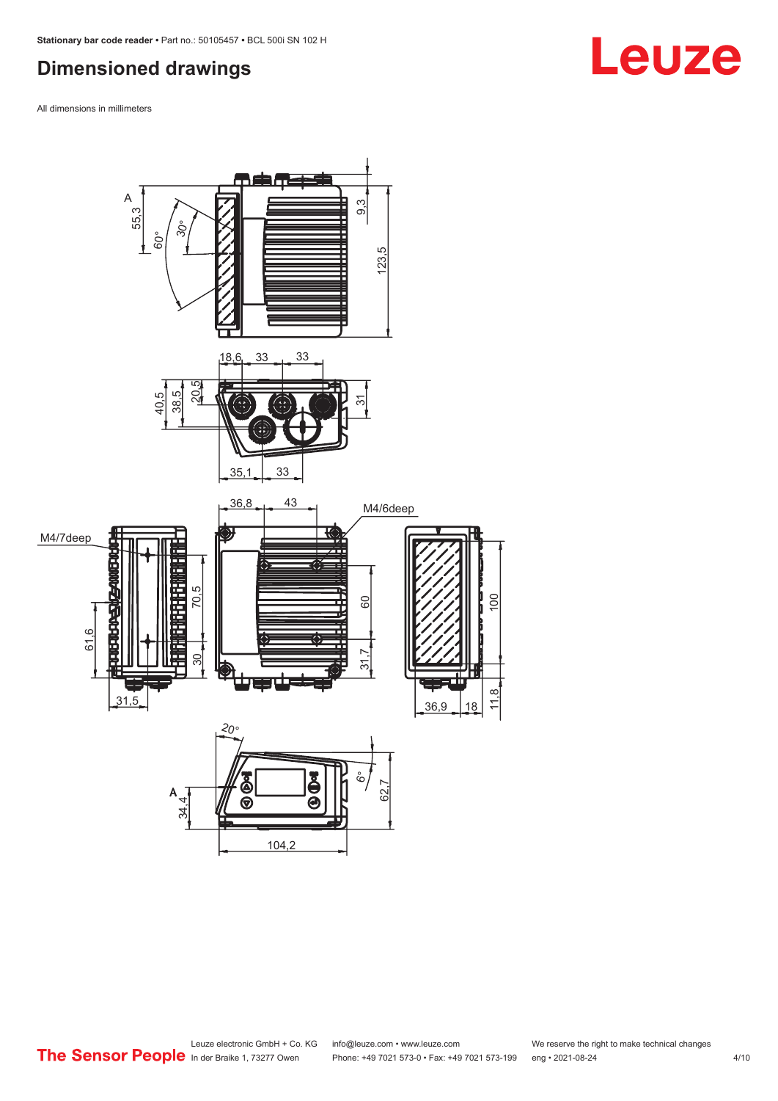# <span id="page-3-0"></span>**Dimensioned drawings**

All dimensions in millimeters



#### Leuze electronic GmbH + Co. KG info@leuze.com • www.leuze.com We reserve the right to make technical changes<br>
The Sensor People in der Braike 1, 73277 Owen Phone: +49 7021 573-0 • Fax: +49 7021 573-199 eng • 2021-08-24 Phone: +49 7021 573-0 • Fax: +49 7021 573-199 eng • 2021-08-24 4/10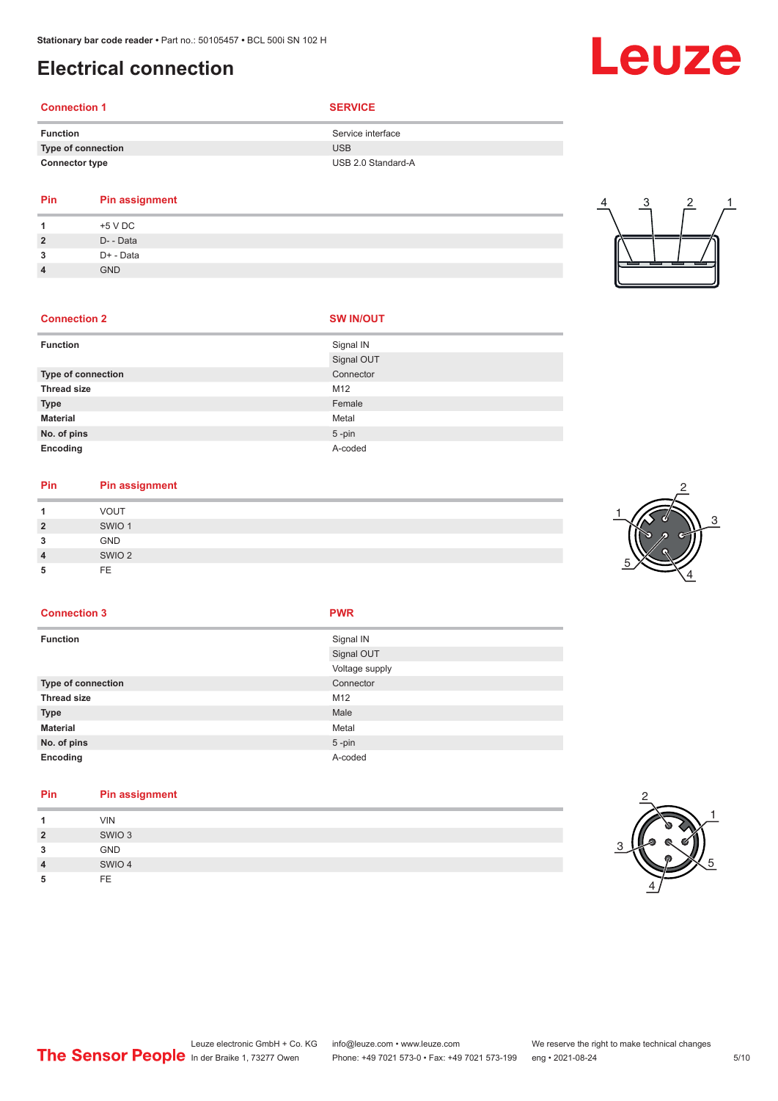# <span id="page-4-0"></span>**Electrical connection**

# **Connection 1 SERVICE**

| <b>Function</b>       | Service interface  |
|-----------------------|--------------------|
| Type of connection    | USB                |
| <b>Connector type</b> | USB 2.0 Standard-A |

### **Pin Pin assignment 1** +5 V DC

|   | +5 V DC    |
|---|------------|
| 2 | D- - Data  |
| 2 | D+ - Data  |
| 4 | <b>GND</b> |

# 4 3 2 1

#### **Connection 2 SW IN/OUT**

| <b>Function</b>           | Signal IN  |
|---------------------------|------------|
|                           | Signal OUT |
| <b>Type of connection</b> | Connector  |
| <b>Thread size</b>        | M12        |
| <b>Type</b>               | Female     |
| <b>Material</b>           | Metal      |
| No. of pins               | $5 - pin$  |
| Encoding                  | A-coded    |

# **Pin Pin assignment**

|    | <b>VOUT</b>       |
|----|-------------------|
| כי | SWIO <sub>1</sub> |
| ິ  | <b>GND</b>        |
| 4  | SWIO <sub>2</sub> |
|    | <b>FE</b>         |



#### **Connection 3 PWR**

| <b>Function</b>           | Signal IN<br>Signal OUT     |
|---------------------------|-----------------------------|
| <b>Type of connection</b> | Voltage supply<br>Connector |
| <b>Thread size</b>        | M12                         |
| <b>Type</b>               | Male                        |
| <b>Material</b>           | Metal                       |
| No. of pins               | $5 - pin$                   |
| Encoding                  | A-coded                     |

#### **Pin Pin assignment**

| и              | <b>VIN</b>        |
|----------------|-------------------|
| $\overline{2}$ | SWIO <sub>3</sub> |
| 3              | GND               |
| $\overline{4}$ | SWIO 4            |
| 5              | FE                |



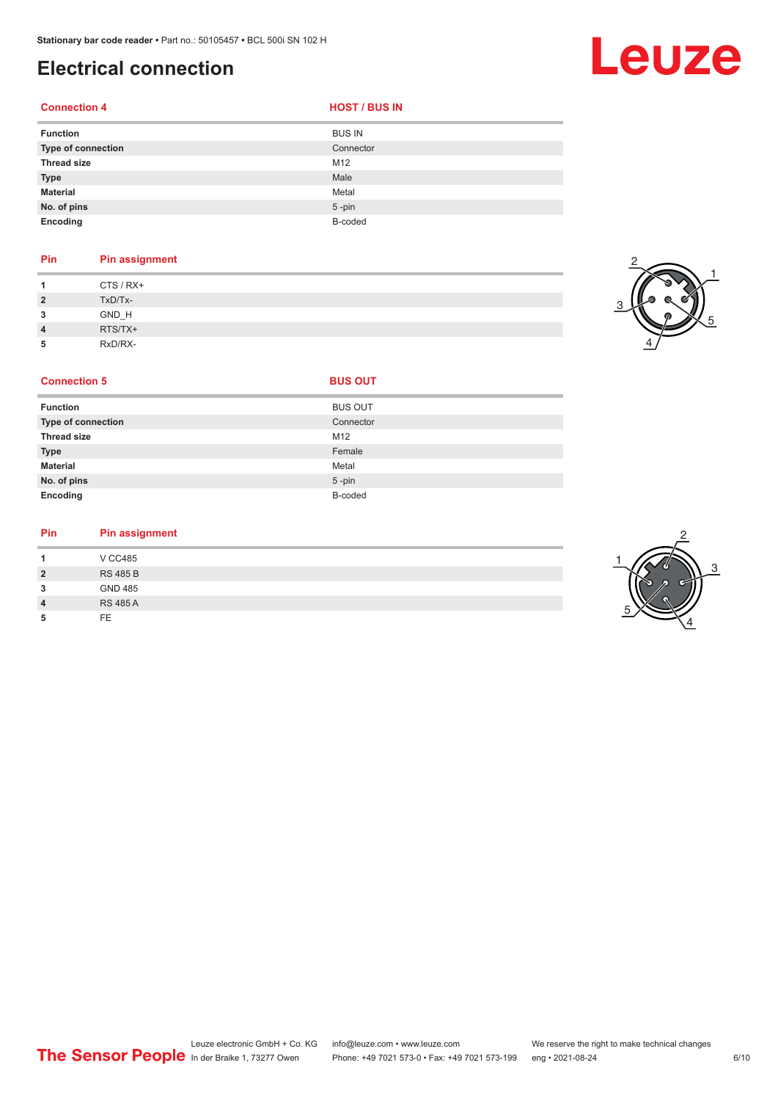# **Electrical connection**

**Connection 4 HOST** / BUS IN

| <b>Function</b>           | <b>BUS IN</b> |
|---------------------------|---------------|
| <b>Type of connection</b> | Connector     |
| <b>Thread size</b>        | M12           |
| <b>Type</b>               | Male          |
| <b>Material</b>           | Metal         |
| No. of pins               | $5$ -pin      |
| Encoding                  | B-coded       |

#### **Pin Pin assignment**

| и              | CTS / RX+ |
|----------------|-----------|
| $\overline{2}$ | TxD/Tx-   |
| 3              | GND_H     |
| $\overline{4}$ | RTS/TX+   |
| 5              | RxD/RX-   |



| <b>Function</b>           | <b>BUS OUT</b> |
|---------------------------|----------------|
| <b>Type of connection</b> | Connector      |
| <b>Thread size</b>        | M12            |
| <b>Type</b>               | Female         |
| <b>Material</b>           | Metal          |
| No. of pins               | $5 - pin$      |
| Encoding                  | B-coded        |

#### **Pin Pin assignment**

|                | <b>V CC485</b>  |  |  |
|----------------|-----------------|--|--|
| $\overline{2}$ | <b>RS 485 B</b> |  |  |
| 3              | GND 485         |  |  |
| $\overline{4}$ | <b>RS 485 A</b> |  |  |
| 5              | FF.             |  |  |

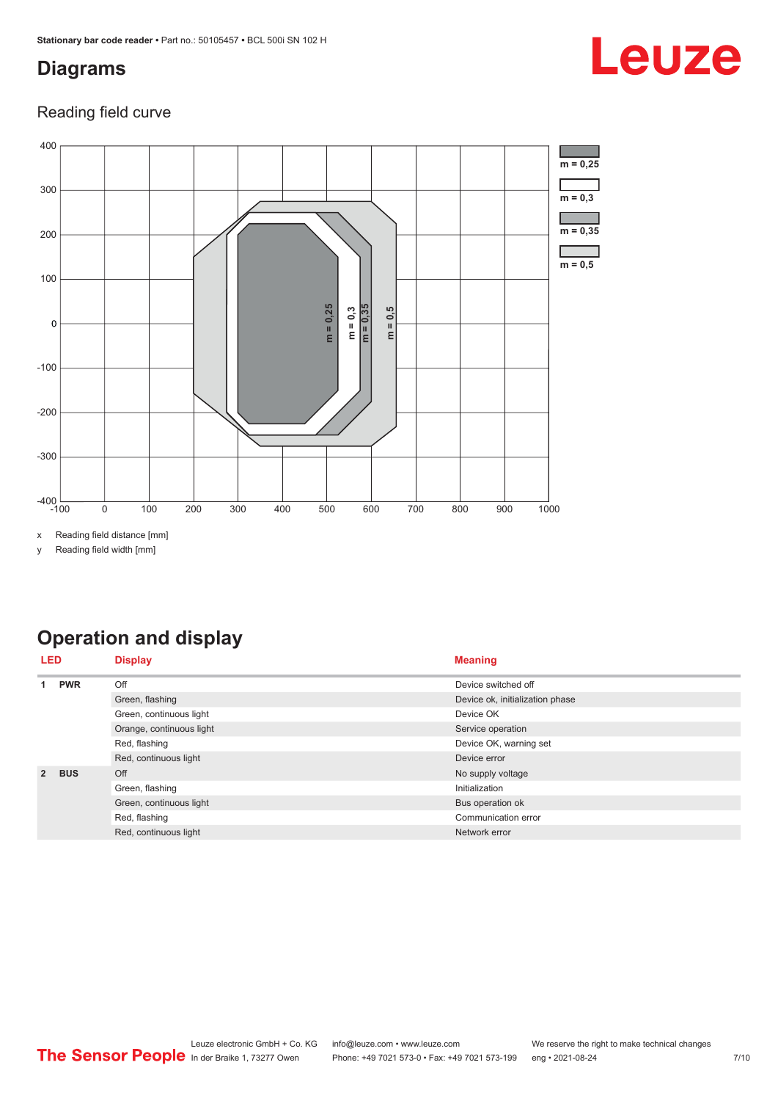# <span id="page-6-0"></span>**Diagrams**

## Reading field curve



x Reading field distance [mm]

y Reading field width [mm]

# **Operation and display**

| <b>LED</b>     |            | <b>Display</b>           | <b>Meaning</b>                  |
|----------------|------------|--------------------------|---------------------------------|
|                | <b>PWR</b> | Off                      | Device switched off             |
|                |            | Green, flashing          | Device ok, initialization phase |
|                |            | Green, continuous light  | Device OK                       |
|                |            | Orange, continuous light | Service operation               |
|                |            | Red, flashing            | Device OK, warning set          |
|                |            | Red, continuous light    | Device error                    |
| $\overline{2}$ | <b>BUS</b> | Off                      | No supply voltage               |
|                |            | Green, flashing          | Initialization                  |
|                |            | Green, continuous light  | Bus operation ok                |
|                |            | Red, flashing            | Communication error             |
|                |            | Red, continuous light    | Network error                   |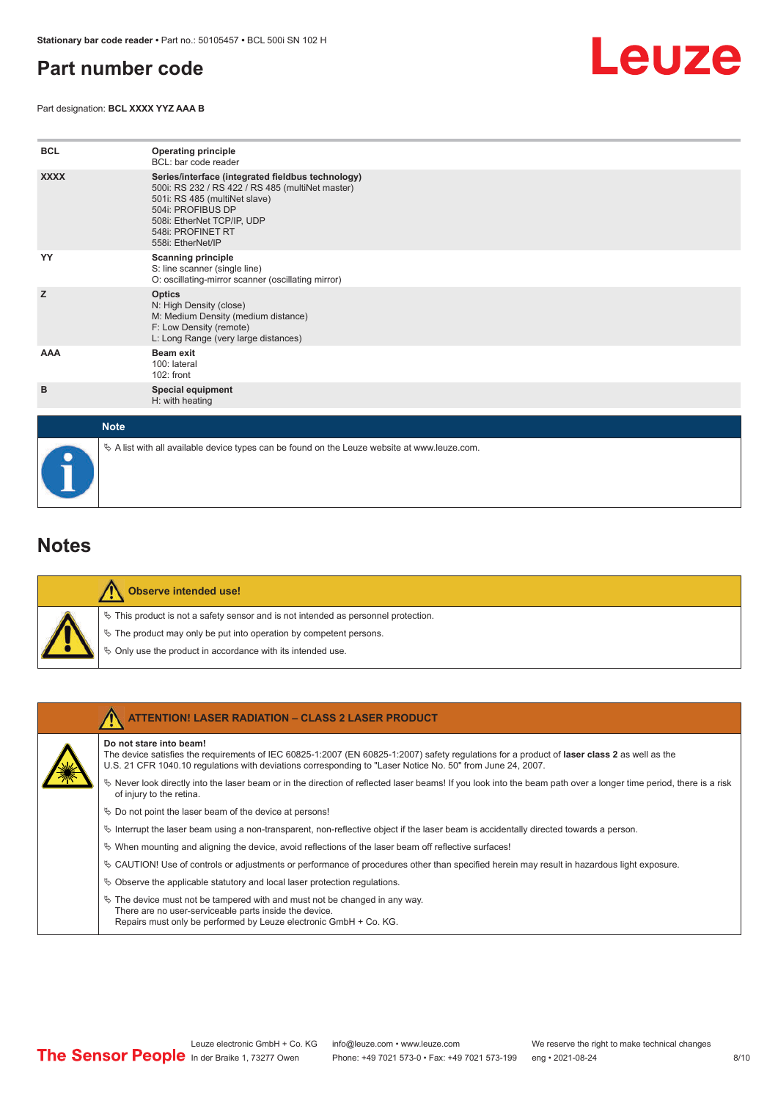# <span id="page-7-0"></span>**Part number code**

Part designation: **BCL XXXX YYZ AAA B**



| <b>BCL</b>  | <b>Operating principle</b><br>BCL: bar code reader                                                                                                                                                                                  |
|-------------|-------------------------------------------------------------------------------------------------------------------------------------------------------------------------------------------------------------------------------------|
| <b>XXXX</b> | Series/interface (integrated fieldbus technology)<br>500i: RS 232 / RS 422 / RS 485 (multiNet master)<br>501i: RS 485 (multiNet slave)<br>504i: PROFIBUS DP<br>508i: EtherNet TCP/IP, UDP<br>548i: PROFINET RT<br>558i: EtherNet/IP |
| YY          | <b>Scanning principle</b><br>S: line scanner (single line)<br>O: oscillating-mirror scanner (oscillating mirror)                                                                                                                    |
| z           | <b>Optics</b><br>N: High Density (close)<br>M: Medium Density (medium distance)<br>F: Low Density (remote)<br>L: Long Range (very large distances)                                                                                  |
| AAA         | <b>Beam exit</b><br>100: lateral<br>$102:$ front                                                                                                                                                                                    |
| в           | <b>Special equipment</b><br>H: with heating                                                                                                                                                                                         |
| <b>Note</b> |                                                                                                                                                                                                                                     |

# **Notes**

|  | Observe intended use!                                                                 |
|--|---------------------------------------------------------------------------------------|
|  | $\%$ This product is not a safety sensor and is not intended as personnel protection. |
|  | $\&$ The product may only be put into operation by competent persons.                 |
|  | § Only use the product in accordance with its intended use.                           |

 $\%$  A list with all available device types can be found on the Leuze website at www.leuze.com.

| <b>ATTENTION! LASER RADIATION - CLASS 2 LASER PRODUCT</b>                                                                                                                                                                                                                             |
|---------------------------------------------------------------------------------------------------------------------------------------------------------------------------------------------------------------------------------------------------------------------------------------|
| Do not stare into beam!<br>The device satisfies the requirements of IEC 60825-1:2007 (EN 60825-1:2007) safety requiations for a product of laser class 2 as well as the<br>U.S. 21 CFR 1040.10 regulations with deviations corresponding to "Laser Notice No. 50" from June 24, 2007. |
| $\%$ Never look directly into the laser beam or in the direction of reflected laser beams! If you look into the beam path over a longer time period, there is a risk<br>of injury to the retina.                                                                                      |
| $\%$ Do not point the laser beam of the device at persons!                                                                                                                                                                                                                            |
| Interrupt the laser beam using a non-transparent, non-reflective object if the laser beam is accidentally directed towards a person.                                                                                                                                                  |
| $\%$ When mounting and aligning the device, avoid reflections of the laser beam off reflective surfaces!                                                                                                                                                                              |
| $\&$ CAUTION! Use of controls or adjustments or performance of procedures other than specified herein may result in hazardous light exposure.                                                                                                                                         |
| $\&$ Observe the applicable statutory and local laser protection requisitions.                                                                                                                                                                                                        |
| $\ddot{\varphi}$ The device must not be tampered with and must not be changed in any way.<br>There are no user-serviceable parts inside the device.<br>Repairs must only be performed by Leuze electronic GmbH + Co. KG.                                                              |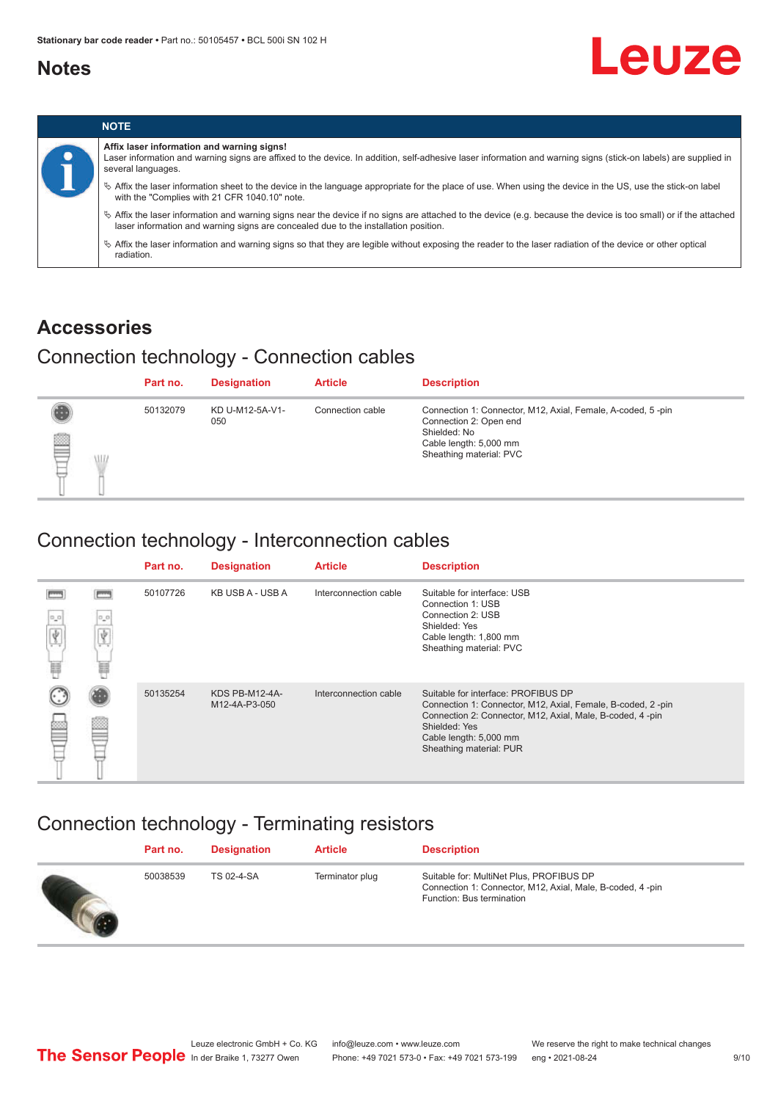# <span id="page-8-0"></span>**Notes**





## **Accessories**

# Connection technology - Connection cables

|             | Part no. | <b>Designation</b>     | <b>Article</b>   | <b>Description</b>                                                                                                                                         |
|-------------|----------|------------------------|------------------|------------------------------------------------------------------------------------------------------------------------------------------------------------|
| ₿<br>W<br>⊢ | 50132079 | KD U-M12-5A-V1-<br>050 | Connection cable | Connection 1: Connector, M12, Axial, Female, A-coded, 5-pin<br>Connection 2: Open end<br>Shielded: No<br>Cable length: 5,000 mm<br>Sheathing material: PVC |

# Connection technology - Interconnection cables

|          |                      | Part no. | <b>Designation</b>              | <b>Article</b>        | <b>Description</b>                                                                                                                                                                                                                    |
|----------|----------------------|----------|---------------------------------|-----------------------|---------------------------------------------------------------------------------------------------------------------------------------------------------------------------------------------------------------------------------------|
| $\alpha$ | $\circ$ $\circ$<br>e | 50107726 | KB USB A - USB A                | Interconnection cable | Suitable for interface: USB<br>Connection 1: USB<br>Connection 2: USB<br>Shielded: Yes<br>Cable length: 1,800 mm<br>Sheathing material: PVC                                                                                           |
|          |                      | 50135254 | KDS PB-M12-4A-<br>M12-4A-P3-050 | Interconnection cable | Suitable for interface: PROFIBUS DP<br>Connection 1: Connector, M12, Axial, Female, B-coded, 2-pin<br>Connection 2: Connector, M12, Axial, Male, B-coded, 4-pin<br>Shielded: Yes<br>Cable length: 5,000 mm<br>Sheathing material: PUR |

# Connection technology - Terminating resistors

| Part no. | <b>Designation</b> | <b>Article</b>  | <b>Description</b>                                                                                                                 |
|----------|--------------------|-----------------|------------------------------------------------------------------------------------------------------------------------------------|
| 50038539 | TS 02-4-SA         | Terminator plug | Suitable for: MultiNet Plus, PROFIBUS DP<br>Connection 1: Connector, M12, Axial, Male, B-coded, 4-pin<br>Function: Bus termination |